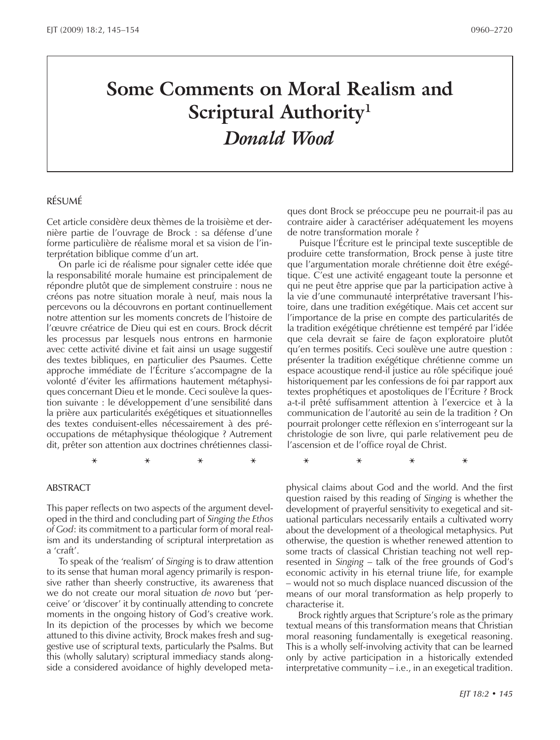# **Some Comments on Moral Realism and Scriptural Authority1** *Donald Wood*

#### Résumé

Cet article considère deux thèmes de la troisième et dernière partie de l'ouvrage de Brock : sa défense d'une forme particulière de réalisme moral et sa vision de l'interprétation biblique comme d'un art.

On parle ici de réalisme pour signaler cette idée que la responsabilité morale humaine est principalement de répondre plutôt que de simplement construire : nous ne créons pas notre situation morale à neuf, mais nous la percevons ou la découvrons en portant continuellement notre attention sur les moments concrets de l'histoire de l'œuvre créatrice de Dieu qui est en cours. Brock décrit les processus par lesquels nous entrons en harmonie avec cette activité divine et fait ainsi un usage suggestif des textes bibliques, en particulier des Psaumes. Cette approche immédiate de l'Écriture s'accompagne de la volonté d'éviter les affirmations hautement métaphysiques concernant Dieu et le monde. Ceci soulève la question suivante : le développement d'une sensibilité dans la prière aux particularités exégétiques et situationnelles des textes conduisent-elles nécessairement à des préoccupations de métaphysique théologique ? Autrement dit, prêter son attention aux doctrines chrétiennes classi-

#### **ABSTRACT**

This paper reflects on two aspects of the argument developed in the third and concluding part of *Singing the Ethos of God*: its commitment to a particular form of moral realism and its understanding of scriptural interpretation as a 'craft'.

To speak of the 'realism' of *Singing* is to draw attention to its sense that human moral agency primarily is responsive rather than sheerly constructive, its awareness that we do not create our moral situation *de novo* but 'perceive' or 'discover' it by continually attending to concrete moments in the ongoing history of God's creative work. In its depiction of the processes by which we become attuned to this divine activity, Brock makes fresh and suggestive use of scriptural texts, particularly the Psalms. But this (wholly salutary) scriptural immediacy stands alongside a considered avoidance of highly developed metaques dont Brock se préoccupe peu ne pourrait-il pas au contraire aider à caractériser adéquatement les moyens de notre transformation morale ?

Puisque l'Écriture est le principal texte susceptible de produire cette transformation, Brock pense à juste titre que l'argumentation morale chrétienne doit être exégétique. C'est une activité engageant toute la personne et qui ne peut être apprise que par la participation active à la vie d'une communauté interprétative traversant l'histoire, dans une tradition exégétique. Mais cet accent sur l'importance de la prise en compte des particularités de la tradition exégétique chrétienne est tempéré par l'idée que cela devrait se faire de façon exploratoire plutôt qu'en termes positifs. Ceci soulève une autre question : présenter la tradition exégétique chrétienne comme un espace acoustique rend-il justice au rôle spécifique joué historiquement par les confessions de foi par rapport aux textes prophétiques et apostoliques de l'Écriture ? Brock a-t-il prêté suffisamment attention à l'exercice et à la communication de l'autorité au sein de la tradition ? On pourrait prolonger cette réflexion en s'interrogeant sur la christologie de son livre, qui parle relativement peu de l'ascension et de l'office royal de Christ.

**\* \* \* \* \* \* \* \***

physical claims about God and the world. And the first question raised by this reading of *Singing* is whether the development of prayerful sensitivity to exegetical and situational particulars necessarily entails a cultivated worry about the development of a theological metaphysics. Put otherwise, the question is whether renewed attention to some tracts of classical Christian teaching not well represented in *Singing* – talk of the free grounds of God's economic activity in his eternal triune life, for example – would not so much displace nuanced discussion of the means of our moral transformation as help properly to characterise it.

Brock rightly argues that Scripture's role as the primary textual means of this transformation means that Christian moral reasoning fundamentally is exegetical reasoning. This is a wholly self-involving activity that can be learned only by active participation in a historically extended interpretative community – i.e., in an exegetical tradition.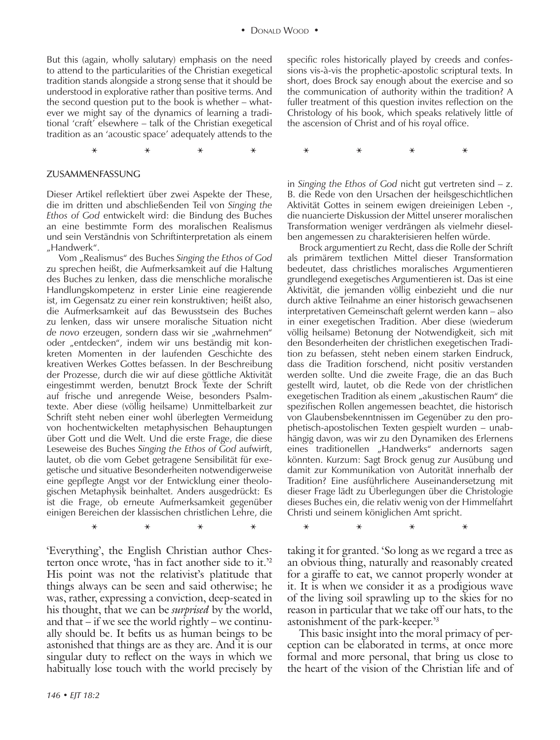**\* \* \* \* \* \* \* \***

**\* \* \* \* \* \* \* \***

But this (again, wholly salutary) emphasis on the need to attend to the particularities of the Christian exegetical tradition stands alongside a strong sense that it should be understood in explorative rather than positive terms. And the second question put to the book is whether – whatever we might say of the dynamics of learning a traditional 'craft' elsewhere – talk of the Christian exegetical tradition as an 'acoustic space' adequately attends to the

#### Zusammenfassung

Dieser Artikel reflektiert über zwei Aspekte der These, die im dritten und abschließenden Teil von *Singing the Ethos of God* entwickelt wird: die Bindung des Buches an eine bestimmte Form des moralischen Realismus und sein Verständnis von Schriftinterpretation als einem "Handwerk".

Vom "Realismus" des Buches *Singing the Ethos of God* zu sprechen heißt, die Aufmerksamkeit auf die Haltung des Buches zu lenken, dass die menschliche moralische Handlungskompetenz in erster Linie eine reagierende ist, im Gegensatz zu einer rein konstruktiven; heißt also, die Aufmerksamkeit auf das Bewusstsein des Buches zu lenken, dass wir unsere moralische Situation nicht de novo erzeugen, sondern dass wir sie "wahrnehmen" oder "entdecken", indem wir uns beständig mit konkreten Momenten in der laufenden Geschichte des kreativen Werkes Gottes befassen. In der Beschreibung der Prozesse, durch die wir auf diese göttliche Aktivität eingestimmt werden, benutzt Brock Texte der Schrift auf frische und anregende Weise, besonders Psalmtexte. Aber diese (völlig heilsame) Unmittelbarkeit zur Schrift steht neben einer wohl überlegten Vermeidung von hochentwickelten metaphysischen Behauptungen über Gott und die Welt. Und die erste Frage, die diese Leseweise des Buches *Singing the Ethos of God* aufwirft, lautet, ob die vom Gebet getragene Sensibilität für exegetische und situative Besonderheiten notwendigerweise eine gepflegte Angst vor der Entwicklung einer theologischen Metaphysik beinhaltet. Anders ausgedrückt: Es ist die Frage, ob erneute Aufmerksamkeit gegenüber einigen Bereichen der klassischen christlichen Lehre, die

'Everything', the English Christian author Chesterton once wrote, 'has in fact another side to it.'2 His point was not the relativist's platitude that things always can be seen and said otherwise; he was, rather, expressing a conviction, deep-seated in his thought, that we can be *surprised* by the world, and that  $-$  if we see the world rightly  $-$  we continually should be. It befits us as human beings to be astonished that things are as they are. And it is our singular duty to reflect on the ways in which we habitually lose touch with the world precisely by

*146 • EJT 18:2*

specific roles historically played by creeds and confessions vis-à-vis the prophetic-apostolic scriptural texts. In short, does Brock say enough about the exercise and so the communication of authority within the tradition? A fuller treatment of this question invites reflection on the Christology of his book, which speaks relatively little of the ascension of Christ and of his royal office.

in *Singing the Ethos of God* nicht gut vertreten sind – z. B. die Rede von den Ursachen der heilsgeschichtlichen Aktivität Gottes in seinem ewigen dreieinigen Leben -, die nuancierte Diskussion der Mittel unserer moralischen Transformation weniger verdrängen als vielmehr dieselben angemessen zu charakterisieren helfen würde.

Brock argumentiert zu Recht, dass die Rolle der Schrift als primärem textlichen Mittel dieser Transformation bedeutet, dass christliches moralisches Argumentieren grundlegend exegetisches Argumentieren ist. Das ist eine Aktivität, die jemanden völlig einbezieht und die nur durch aktive Teilnahme an einer historisch gewachsenen interpretativen Gemeinschaft gelernt werden kann – also in einer exegetischen Tradition. Aber diese (wiederum völlig heilsame) Betonung der Notwendigkeit, sich mit den Besonderheiten der christlichen exegetischen Tradition zu befassen, steht neben einem starken Eindruck, dass die Tradition forschend, nicht positiv verstanden werden sollte. Und die zweite Frage, die an das Buch gestellt wird, lautet, ob die Rede von der christlichen exegetischen Tradition als einem "akustischen Raum" die spezifischen Rollen angemessen beachtet, die historisch von Glaubensbekenntnissen im Gegenüber zu den prophetisch-apostolischen Texten gespielt wurden – unabhängig davon, was wir zu den Dynamiken des Erlernens eines traditionellen "Handwerks" andernorts sagen könnten. Kurzum: Sagt Brock genug zur Ausübung und damit zur Kommunikation von Autorität innerhalb der Tradition? Eine ausführlichere Auseinandersetzung mit dieser Frage lädt zu Überlegungen über die Christologie dieses Buches ein, die relativ wenig von der Himmelfahrt Christi und seinem königlichen Amt spricht.

taking it for granted. 'So long as we regard a tree as an obvious thing, naturally and reasonably created for a giraffe to eat, we cannot properly wonder at it. It is when we consider it as a prodigious wave of the living soil sprawling up to the skies for no reason in particular that we take off our hats, to the astonishment of the park-keeper.'3

This basic insight into the moral primacy of perception can be elaborated in terms, at once more formal and more personal, that bring us close to the heart of the vision of the Christian life and of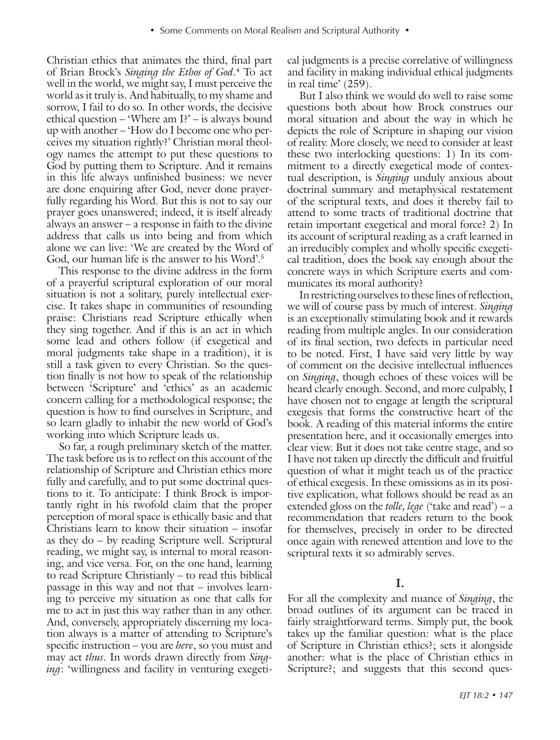Christian ethics that animates the third, final part of Brian Brock's *Singing the Ethos of God*. 4 To act well in the world, we might say, I must perceive the world as it truly is. And habitually, to my shame and sorrow, I fail to do so. In other words, the decisive ethical question – 'Where am I?' – is always bound up with another – 'How do I become one who perceives my situation rightly?' Christian moral theology names the attempt to put these questions to God by putting them to Scripture. And it remains in this life always unfinished business: we never are done enquiring after God, never done prayerfully regarding his Word. But this is not to say our prayer goes unanswered; indeed, it is itself already always an answer – a response in faith to the divine address that calls us into being and from which alone we can live: 'We are created by the Word of God, our human life is the answer to his Word'.<sup>5</sup>

This response to the divine address in the form of a prayerful scriptural exploration of our moral situation is not a solitary, purely intellectual exercise. It takes shape in communities of resounding praise: Christians read Scripture ethically when they sing together. And if this is an act in which some lead and others follow (if exegetical and moral judgments take shape in a tradition), it is still a task given to every Christian. So the question finally is not how to speak of the relationship between 'Scripture' and 'ethics' as an academic concern calling for a methodological response; the question is how to find ourselves in Scripture, and so learn gladly to inhabit the new world of God's working into which Scripture leads us.

So far, a rough preliminary sketch of the matter. The task before us is to reflect on this account of the relationship of Scripture and Christian ethics more fully and carefully, and to put some doctrinal questions to it. To anticipate: I think Brock is importantly right in his twofold claim that the proper perception of moral space is ethically basic and that Christians learn to know their situation – insofar as they do – by reading Scripture well. Scriptural reading, we might say, is internal to moral reasoning, and vice versa. For, on the one hand, learning to read Scripture Christianly – to read this biblical passage in this way and not that – involves learning to perceive my situation as one that calls for me to act in just this way rather than in any other. And, conversely, appropriately discerning my location always is a matter of attending to Scripture's specific instruction – you are *here*, so you must and may act *thus*. In words drawn directly from *Singing*: 'willingness and facility in venturing exegetical judgments is a precise correlative of willingness and facility in making individual ethical judgments in real time' (259).

But I also think we would do well to raise some questions both about how Brock construes our moral situation and about the way in which he depicts the role of Scripture in shaping our vision of reality. More closely, we need to consider at least these two interlocking questions: 1) In its commitment to a directly exegetical mode of contextual description, is *Singing* unduly anxious about doctrinal summary and metaphysical restatement of the scriptural texts, and does it thereby fail to attend to some tracts of traditional doctrine that retain important exegetical and moral force? 2) In its account of scriptural reading as a craft learned in an irreducibly complex and wholly specific exegetical tradition, does the book say enough about the concrete ways in which Scripture exerts and communicates its moral authority?

In restricting ourselves to these lines of reflection, we will of course pass by much of interest. *Singing* is an exceptionally stimulating book and it rewards reading from multiple angles. In our consideration of its final section, two defects in particular need to be noted. First, I have said very little by way of comment on the decisive intellectual influences on *Singing*, though echoes of these voices will be heard clearly enough. Second, and more culpably, I have chosen not to engage at length the scriptural exegesis that forms the constructive heart of the book. A reading of this material informs the entire presentation here, and it occasionally emerges into clear view. But it does not take centre stage, and so I have not taken up directly the difficult and fruitful question of what it might teach us of the practice of ethical exegesis. In these omissions as in its positive explication, what follows should be read as an extended gloss on the *tolle, lege* ('take and read') – a recommendation that readers return to the book for themselves, precisely in order to be directed once again with renewed attention and love to the scriptural texts it so admirably serves.

#### **I.**

For all the complexity and nuance of *Singing*, the broad outlines of its argument can be traced in fairly straightforward terms. Simply put, the book takes up the familiar question: what is the place of Scripture in Christian ethics?; sets it alongside another: what is the place of Christian ethics in Scripture?; and suggests that this second ques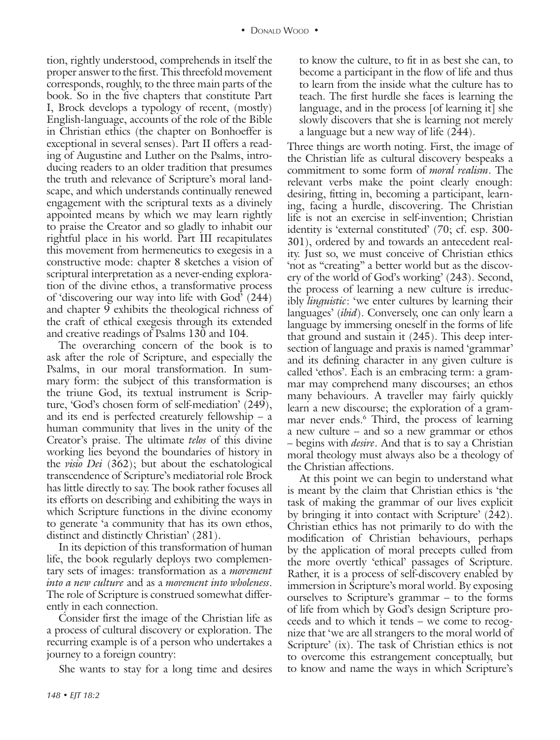tion, rightly understood, comprehends in itself the proper answer to the first. This threefold movement corresponds, roughly, to the three main parts of the book. So in the five chapters that constitute Part I, Brock develops a typology of recent, (mostly) English-language, accounts of the role of the Bible in Christian ethics (the chapter on Bonhoeffer is exceptional in several senses). Part II offers a reading of Augustine and Luther on the Psalms, introducing readers to an older tradition that presumes the truth and relevance of Scripture's moral landscape, and which understands continually renewed engagement with the scriptural texts as a divinely appointed means by which we may learn rightly to praise the Creator and so gladly to inhabit our rightful place in his world. Part III recapitulates this movement from hermeneutics to exegesis in a constructive mode: chapter 8 sketches a vision of scriptural interpretation as a never-ending exploration of the divine ethos, a transformative process of 'discovering our way into life with God' (244) and chapter 9 exhibits the theological richness of the craft of ethical exegesis through its extended and creative readings of Psalms 130 and 104.

The overarching concern of the book is to ask after the role of Scripture, and especially the Psalms, in our moral transformation. In summary form: the subject of this transformation is the triune God, its textual instrument is Scripture, 'God's chosen form of self-mediation' (249), and its end is perfected creaturely fellowship – a human community that lives in the unity of the Creator's praise. The ultimate *telos* of this divine working lies beyond the boundaries of history in the *visio Dei* (362); but about the eschatological transcendence of Scripture's mediatorial role Brock has little directly to say. The book rather focuses all its efforts on describing and exhibiting the ways in which Scripture functions in the divine economy to generate 'a community that has its own ethos, distinct and distinctly Christian' (281).

In its depiction of this transformation of human life, the book regularly deploys two complementary sets of images: transformation as a *movement into a new culture* and as a *movement into wholeness*. The role of Scripture is construed somewhat differently in each connection.

Consider first the image of the Christian life as a process of cultural discovery or exploration. The recurring example is of a person who undertakes a journey to a foreign country:

She wants to stay for a long time and desires

to know the culture, to fit in as best she can, to become a participant in the flow of life and thus to learn from the inside what the culture has to teach. The first hurdle she faces is learning the language, and in the process [of learning it] she slowly discovers that she is learning not merely a language but a new way of life (244).

Three things are worth noting. First, the image of the Christian life as cultural discovery bespeaks a commitment to some form of *moral realism*. The relevant verbs make the point clearly enough: desiring, fitting in, becoming a participant, learning, facing a hurdle, discovering. The Christian life is not an exercise in self-invention; Christian identity is 'external constituted' (70; cf. esp. 300- 301), ordered by and towards an antecedent reality. Just so, we must conceive of Christian ethics 'not as "creating" a better world but as the discovery of the world of God's working' (243). Second, the process of learning a new culture is irreducibly *linguistic*: 'we enter cultures by learning their languages' (*ibid*). Conversely, one can only learn a language by immersing oneself in the forms of life that ground and sustain it (245). This deep intersection of language and praxis is named 'grammar' and its defining character in any given culture is called 'ethos'. Each is an embracing term: a grammar may comprehend many discourses; an ethos many behaviours. A traveller may fairly quickly learn a new discourse; the exploration of a grammar never ends.<sup>6</sup> Third, the process of learning a new culture – and so a new grammar or ethos – begins with *desire*. And that is to say a Christian moral theology must always also be a theology of the Christian affections.

At this point we can begin to understand what is meant by the claim that Christian ethics is 'the task of making the grammar of our lives explicit by bringing it into contact with Scripture' (242). Christian ethics has not primarily to do with the modification of Christian behaviours, perhaps by the application of moral precepts culled from the more overtly 'ethical' passages of Scripture. Rather, it is a process of self-discovery enabled by immersion in Scripture's moral world. By exposing ourselves to Scripture's grammar – to the forms of life from which by God's design Scripture proceeds and to which it tends – we come to recognize that 'we are all strangers to the moral world of Scripture' (ix). The task of Christian ethics is not to overcome this estrangement conceptually, but to know and name the ways in which Scripture's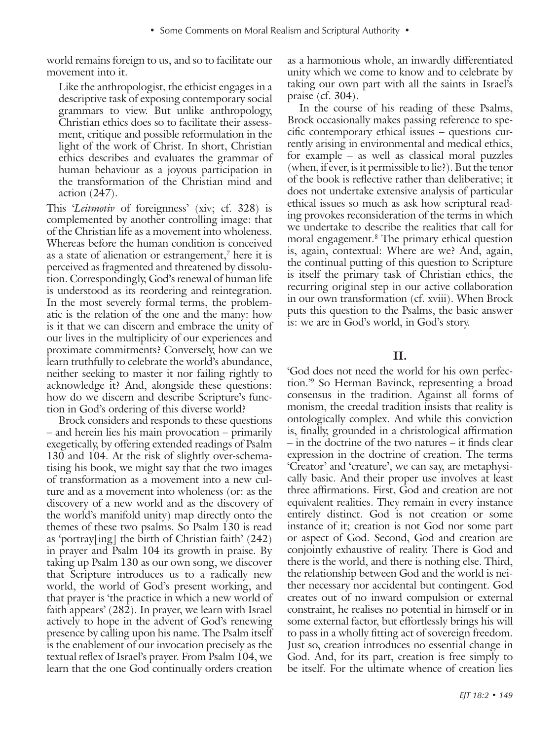world remains foreign to us, and so to facilitate our movement into it.

Like the anthropologist, the ethicist engages in a descriptive task of exposing contemporary social grammars to view. But unlike anthropology, Christian ethics does so to facilitate their assessment, critique and possible reformulation in the light of the work of Christ. In short, Christian ethics describes and evaluates the grammar of human behaviour as a joyous participation in the transformation of the Christian mind and action (247).

This '*Leitmotiv* of foreignness' (xiv; cf. 328) is complemented by another controlling image: that of the Christian life as a movement into wholeness. Whereas before the human condition is conceived as a state of alienation or estrangement,<sup>7</sup> here it is perceived as fragmented and threatened by dissolution. Correspondingly, God's renewal of human life is understood as its reordering and reintegration. In the most severely formal terms, the problematic is the relation of the one and the many: how is it that we can discern and embrace the unity of our lives in the multiplicity of our experiences and proximate commitments? Conversely, how can we learn truthfully to celebrate the world's abundance, neither seeking to master it nor failing rightly to acknowledge it? And, alongside these questions: how do we discern and describe Scripture's function in God's ordering of this diverse world?

Brock considers and responds to these questions – and herein lies his main provocation – primarily exegetically, by offering extended readings of Psalm 130 and 104. At the risk of slightly over-schematising his book, we might say that the two images of transformation as a movement into a new culture and as a movement into wholeness (or: as the discovery of a new world and as the discovery of the world's manifold unity) map directly onto the themes of these two psalms. So Psalm 130 is read as 'portray[ing] the birth of Christian faith' (242) in prayer and Psalm 104 its growth in praise. By taking up Psalm 130 as our own song, we discover that Scripture introduces us to a radically new world, the world of God's present working, and that prayer is 'the practice in which a new world of faith appears' (282). In prayer, we learn with Israel actively to hope in the advent of God's renewing presence by calling upon his name. The Psalm itself is the enablement of our invocation precisely as the textual reflex of Israel's prayer. From Psalm 104, we learn that the one God continually orders creation

as a harmonious whole, an inwardly differentiated unity which we come to know and to celebrate by taking our own part with all the saints in Israel's praise (cf. 304).

In the course of his reading of these Psalms, Brock occasionally makes passing reference to specific contemporary ethical issues – questions currently arising in environmental and medical ethics, for example – as well as classical moral puzzles (when, if ever, is it permissible to lie?). But the tenor of the book is reflective rather than deliberative; it does not undertake extensive analysis of particular ethical issues so much as ask how scriptural reading provokes reconsideration of the terms in which we undertake to describe the realities that call for moral engagement.8 The primary ethical question is, again, contextual: Where are we? And, again, the continual putting of this question to Scripture is itself the primary task of Christian ethics, the recurring original step in our active collaboration in our own transformation (cf. xviii). When Brock puts this question to the Psalms, the basic answer is: we are in God's world, in God's story.

### **II.**

'God does not need the world for his own perfection.'9 So Herman Bavinck, representing a broad consensus in the tradition. Against all forms of monism, the creedal tradition insists that reality is ontologically complex. And while this conviction is, finally, grounded in a christological affirmation – in the doctrine of the two natures – it finds clear expression in the doctrine of creation. The terms 'Creator' and 'creature', we can say, are metaphysically basic. And their proper use involves at least three affirmations. First, God and creation are not equivalent realities. They remain in every instance entirely distinct. God is not creation or some instance of it; creation is not God nor some part or aspect of God. Second, God and creation are conjointly exhaustive of reality. There is God and there is the world, and there is nothing else. Third, the relationship between God and the world is neither necessary nor accidental but contingent. God creates out of no inward compulsion or external constraint, he realises no potential in himself or in some external factor, but effortlessly brings his will to pass in a wholly fitting act of sovereign freedom. Just so, creation introduces no essential change in God. And, for its part, creation is free simply to be itself. For the ultimate whence of creation lies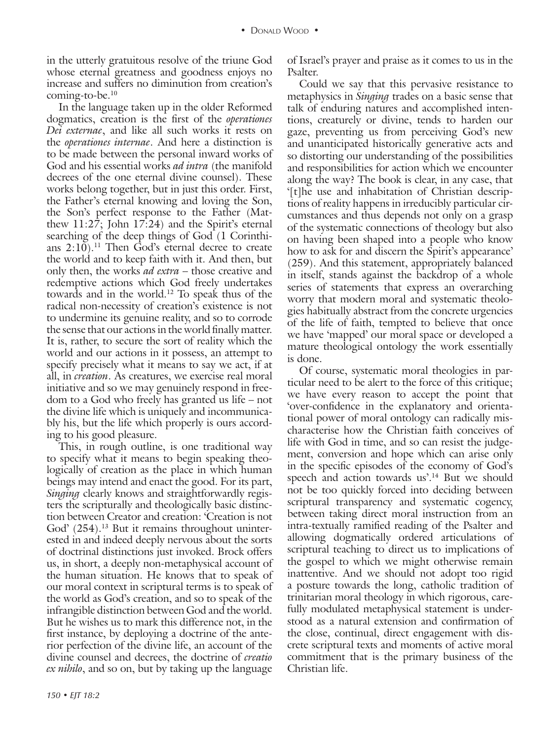in the utterly gratuitous resolve of the triune God whose eternal greatness and goodness enjoys no increase and suffers no diminution from creation's coming-to-be.10

In the language taken up in the older Reformed dogmatics, creation is the first of the *operationes Dei externae*, and like all such works it rests on the *operationes internae*. And here a distinction is to be made between the personal inward works of God and his essential works *ad intra* (the manifold decrees of the one eternal divine counsel). These works belong together, but in just this order. First, the Father's eternal knowing and loving the Son, the Son's perfect response to the Father (Matthew 11:27; John 17:24) and the Spirit's eternal searching of the deep things of God (1 Corinthians  $2:10$ .<sup>11</sup> Then God's eternal decree to create the world and to keep faith with it. And then, but only then, the works *ad extra* – those creative and redemptive actions which God freely undertakes towards and in the world.12 To speak thus of the radical non-necessity of creation's existence is not to undermine its genuine reality, and so to corrode the sense that our actions in the world finally matter. It is, rather, to secure the sort of reality which the world and our actions in it possess, an attempt to specify precisely what it means to say we act, if at all, in *creation*. As creatures, we exercise real moral initiative and so we may genuinely respond in freedom to a God who freely has granted us life – not the divine life which is uniquely and incommunicably his, but the life which properly is ours according to his good pleasure.

This, in rough outline, is one traditional way to specify what it means to begin speaking theologically of creation as the place in which human beings may intend and enact the good. For its part, *Singing* clearly knows and straightforwardly registers the scripturally and theologically basic distinction between Creator and creation: 'Creation is not God' (254).<sup>13</sup> But it remains throughout uninterested in and indeed deeply nervous about the sorts of doctrinal distinctions just invoked. Brock offers us, in short, a deeply non-metaphysical account of the human situation. He knows that to speak of our moral context in scriptural terms is to speak of the world as God's creation, and so to speak of the infrangible distinction between God and the world. But he wishes us to mark this difference not, in the first instance, by deploying a doctrine of the anterior perfection of the divine life, an account of the divine counsel and decrees, the doctrine of *creatio ex nihilo*, and so on, but by taking up the language

of Israel's prayer and praise as it comes to us in the Psalter.

Could we say that this pervasive resistance to metaphysics in *Singing* trades on a basic sense that talk of enduring natures and accomplished intentions, creaturely or divine, tends to harden our gaze, preventing us from perceiving God's new and unanticipated historically generative acts and so distorting our understanding of the possibilities and responsibilities for action which we encounter along the way? The book is clear, in any case, that '[t]he use and inhabitation of Christian descriptions of reality happens in irreducibly particular circumstances and thus depends not only on a grasp of the systematic connections of theology but also on having been shaped into a people who know how to ask for and discern the Spirit's appearance' (259). And this statement, appropriately balanced in itself, stands against the backdrop of a whole series of statements that express an overarching worry that modern moral and systematic theologies habitually abstract from the concrete urgencies of the life of faith, tempted to believe that once we have 'mapped' our moral space or developed a mature theological ontology the work essentially is done.

Of course, systematic moral theologies in particular need to be alert to the force of this critique; we have every reason to accept the point that 'over-confidence in the explanatory and orientational power of moral ontology can radically mischaracterise how the Christian faith conceives of life with God in time, and so can resist the judgement, conversion and hope which can arise only in the specific episodes of the economy of God's speech and action towards us'.<sup>14</sup> But we should not be too quickly forced into deciding between scriptural transparency and systematic cogency, between taking direct moral instruction from an intra-textually ramified reading of the Psalter and allowing dogmatically ordered articulations of scriptural teaching to direct us to implications of the gospel to which we might otherwise remain inattentive. And we should not adopt too rigid a posture towards the long, catholic tradition of trinitarian moral theology in which rigorous, carefully modulated metaphysical statement is understood as a natural extension and confirmation of the close, continual, direct engagement with discrete scriptural texts and moments of active moral commitment that is the primary business of the Christian life.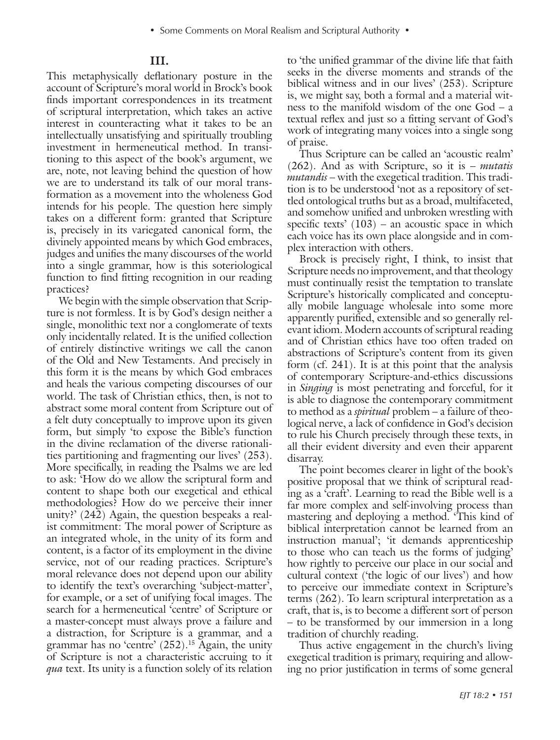#### **III.**

This metaphysically deflationary posture in the account of Scripture's moral world in Brock's book finds important correspondences in its treatment of scriptural interpretation, which takes an active interest in counteracting what it takes to be an intellectually unsatisfying and spiritually troubling investment in hermeneutical method. In transitioning to this aspect of the book's argument, we are, note, not leaving behind the question of how we are to understand its talk of our moral transformation as a movement into the wholeness God intends for his people. The question here simply takes on a different form: granted that Scripture is, precisely in its variegated canonical form, the divinely appointed means by which God embraces, judges and unifies the many discourses of the world into a single grammar, how is this soteriological function to find fitting recognition in our reading practices?

We begin with the simple observation that Scripture is not formless. It is by God's design neither a single, monolithic text nor a conglomerate of texts only incidentally related. It is the unified collection of entirely distinctive writings we call the canon of the Old and New Testaments. And precisely in this form it is the means by which God embraces and heals the various competing discourses of our world. The task of Christian ethics, then, is not to abstract some moral content from Scripture out of a felt duty conceptually to improve upon its given form, but simply 'to expose the Bible's function in the divine reclamation of the diverse rationalities partitioning and fragmenting our lives' (253). More specifically, in reading the Psalms we are led to ask: 'How do we allow the scriptural form and content to shape both our exegetical and ethical methodologies? How do we perceive their inner unity?' (242) Again, the question bespeaks a realist commitment: The moral power of Scripture as an integrated whole, in the unity of its form and content, is a factor of its employment in the divine service, not of our reading practices. Scripture's moral relevance does not depend upon our ability to identify the text's overarching 'subject-matter', for example, or a set of unifying focal images. The search for a hermeneutical 'centre' of Scripture or a master-concept must always prove a failure and a distraction, for Scripture is a grammar, and a grammar has no 'centre' (252).15 Again, the unity of Scripture is not a characteristic accruing to it *qua* text. Its unity is a function solely of its relation

to 'the unified grammar of the divine life that faith seeks in the diverse moments and strands of the biblical witness and in our lives' (253). Scripture is, we might say, both a formal and a material witness to the manifold wisdom of the one God – a textual reflex and just so a fitting servant of God's work of integrating many voices into a single song of praise.

Thus Scripture can be called an 'acoustic realm' (262). And as with Scripture, so it is – *mutatis mutandis* – with the exegetical tradition. This tradition is to be understood 'not as a repository of settled ontological truths but as a broad, multifaceted, and somehow unified and unbroken wrestling with specific texts'  $(103)$  – an acoustic space in which each voice has its own place alongside and in complex interaction with others.

Brock is precisely right, I think, to insist that Scripture needs no improvement, and that theology must continually resist the temptation to translate Scripture's historically complicated and conceptually mobile language wholesale into some more apparently purified, extensible and so generally relevant idiom. Modern accounts of scriptural reading and of Christian ethics have too often traded on abstractions of Scripture's content from its given form (cf. 241). It is at this point that the analysis of contemporary Scripture-and-ethics discussions in *Singing* is most penetrating and forceful, for it is able to diagnose the contemporary commitment to method as a *spiritual* problem – a failure of theological nerve, a lack of confidence in God's decision to rule his Church precisely through these texts, in all their evident diversity and even their apparent disarray.

The point becomes clearer in light of the book's positive proposal that we think of scriptural reading as a 'craft'. Learning to read the Bible well is a far more complex and self-involving process than mastering and deploying a method. 'This kind of biblical interpretation cannot be learned from an instruction manual'; 'it demands apprenticeship to those who can teach us the forms of judging' how rightly to perceive our place in our social and cultural context ('the logic of our lives') and how to perceive our immediate context in Scripture's terms (262). To learn scriptural interpretation as a craft, that is, is to become a different sort of person – to be transformed by our immersion in a long tradition of churchly reading.

Thus active engagement in the church's living exegetical tradition is primary, requiring and allowing no prior justification in terms of some general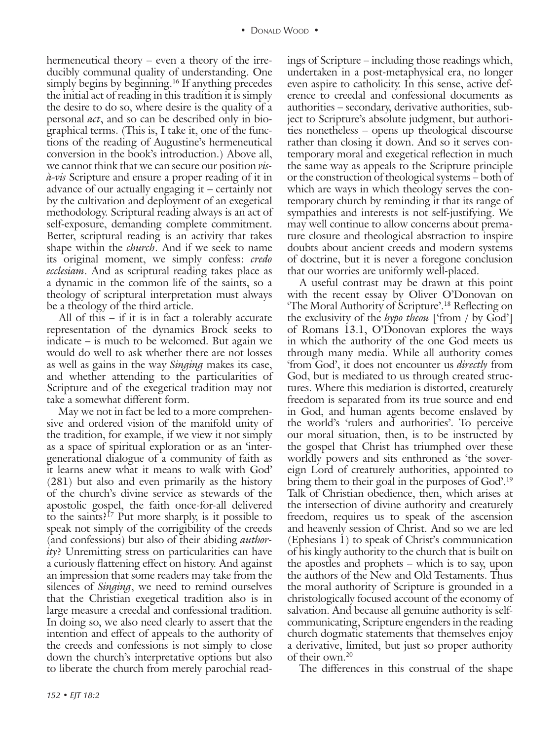hermeneutical theory – even a theory of the irreducibly communal quality of understanding. One simply begins by beginning.<sup>16</sup> If anything precedes the initial act of reading in this tradition it is simply the desire to do so, where desire is the quality of a personal *act*, and so can be described only in biographical terms. (This is, I take it, one of the functions of the reading of Augustine's hermeneutical conversion in the book's introduction.) Above all, we cannot think that we can secure our position *visà-vis* Scripture and ensure a proper reading of it in advance of our actually engaging it – certainly not by the cultivation and deployment of an exegetical methodology. Scriptural reading always is an act of self-exposure, demanding complete commitment. Better, scriptural reading is an activity that takes shape within the *church*. And if we seek to name its original moment, we simply confess: *credo ecclesiam*. And as scriptural reading takes place as a dynamic in the common life of the saints, so a theology of scriptural interpretation must always be a theology of the third article.

All of this – if it is in fact a tolerably accurate representation of the dynamics Brock seeks to indicate – is much to be welcomed. But again we would do well to ask whether there are not losses as well as gains in the way *Singing* makes its case, and whether attending to the particularities of Scripture and of the exegetical tradition may not take a somewhat different form.

May we not in fact be led to a more comprehensive and ordered vision of the manifold unity of the tradition, for example, if we view it not simply as a space of spiritual exploration or as an 'intergenerational dialogue of a community of faith as it learns anew what it means to walk with God' (281) but also and even primarily as the history of the church's divine service as stewards of the apostolic gospel, the faith once-for-all delivered to the saints?<sup>17</sup> Put more sharply, is it possible to speak not simply of the corrigibility of the creeds (and confessions) but also of their abiding *authority*? Unremitting stress on particularities can have a curiously flattening effect on history. And against an impression that some readers may take from the silences of *Singing*, we need to remind ourselves that the Christian exegetical tradition also is in large measure a creedal and confessional tradition. In doing so, we also need clearly to assert that the intention and effect of appeals to the authority of the creeds and confessions is not simply to close down the church's interpretative options but also to liberate the church from merely parochial readings of Scripture – including those readings which, undertaken in a post-metaphysical era, no longer even aspire to catholicity. In this sense, active deference to creedal and confessional documents as authorities – secondary, derivative authorities, subject to Scripture's absolute judgment, but authorities nonetheless – opens up theological discourse rather than closing it down. And so it serves contemporary moral and exegetical reflection in much the same way as appeals to the Scripture principle or the construction of theological systems – both of which are ways in which theology serves the contemporary church by reminding it that its range of sympathies and interests is not self-justifying. We may well continue to allow concerns about premature closure and theological abstraction to inspire doubts about ancient creeds and modern systems of doctrine, but it is never a foregone conclusion that our worries are uniformly well-placed.

A useful contrast may be drawn at this point with the recent essay by Oliver O'Donovan on 'The Moral Authority of Scripture'.18 Reflecting on the exclusivity of the *hypo theou* ['from / by God'] of Romans 13.1, O'Donovan explores the ways in which the authority of the one God meets us through many media. While all authority comes 'from God', it does not encounter us *directly* from God, but is mediated to us through created structures. Where this mediation is distorted, creaturely freedom is separated from its true source and end in God, and human agents become enslaved by the world's 'rulers and authorities'. To perceive our moral situation, then, is to be instructed by the gospel that Christ has triumphed over these worldly powers and sits enthroned as 'the sovereign Lord of creaturely authorities, appointed to bring them to their goal in the purposes of God'.<sup>19</sup> Talk of Christian obedience, then, which arises at the intersection of divine authority and creaturely freedom, requires us to speak of the ascension and heavenly session of Christ. And so we are led (Ephesians 1) to speak of Christ's communication of his kingly authority to the church that is built on the apostles and prophets – which is to say, upon the authors of the New and Old Testaments. Thus the moral authority of Scripture is grounded in a christologically focused account of the economy of salvation. And because all genuine authority is selfcommunicating, Scripture engenders in the reading church dogmatic statements that themselves enjoy a derivative, limited, but just so proper authority of their own.20

The differences in this construal of the shape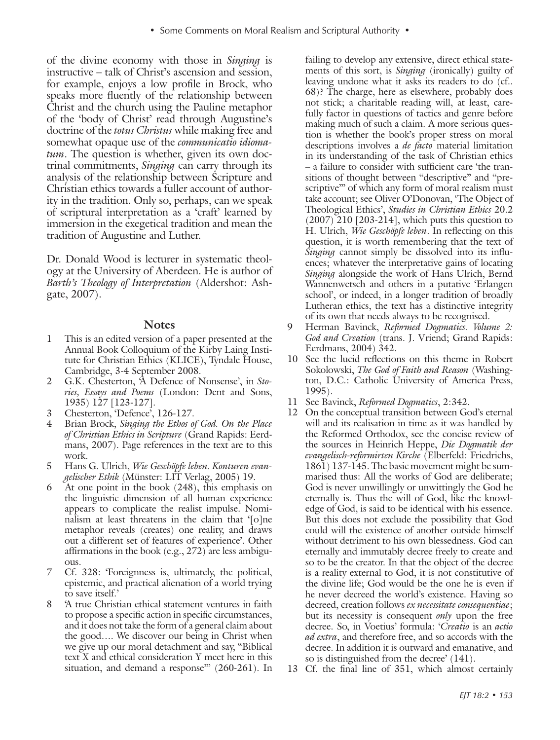of the divine economy with those in *Singing* is instructive – talk of Christ's ascension and session, for example, enjoys a low profile in Brock, who speaks more fluently of the relationship between Christ and the church using the Pauline metaphor of the 'body of Christ' read through Augustine's doctrine of the *totus Christus* while making free and somewhat opaque use of the *communicatio idiomatum*. The question is whether, given its own doctrinal commitments, *Singing* can carry through its analysis of the relationship between Scripture and Christian ethics towards a fuller account of authority in the tradition. Only so, perhaps, can we speak of scriptural interpretation as a 'craft' learned by immersion in the exegetical tradition and mean the tradition of Augustine and Luther.

Dr. Donald Wood is lecturer in systematic theology at the University of Aberdeen. He is author of *Barth's Theology of Interpretation* (Aldershot: Ashgate, 2007).

#### **Notes**

- 1 This is an edited version of a paper presented at the Annual Book Colloquium of the Kirby Laing Institute for Christian Ethics (KLICE), Tyndale House, Cambridge, 3-4 September 2008.
- 2 G.K. Chesterton, 'A Defence of Nonsense', in *Stories, Essays and Poems* (London: Dent and Sons, 1935) 127 [123-127].
- 3 Chesterton, 'Defence', 126-127.
- 4 Brian Brock, *Singing the Ethos of God. On the Place of Christian Ethics in Scripture* (Grand Rapids: Eerdmans, 2007). Page references in the text are to this work.
- 5 Hans G. Ulrich, *Wie Geschöpfe leben. Konturen evangelischer Ethik* (Münster: LIT Verlag, 2005) 19.
- At one point in the book  $(248)$ , this emphasis on the linguistic dimension of all human experience appears to complicate the realist impulse. Nominalism at least threatens in the claim that '[o]ne metaphor reveals (creates) one reality, and draws out a different set of features of experience'. Other affirmations in the book (e.g., 272) are less ambiguous.
- 7 Cf. 328: 'Foreignness is, ultimately, the political, epistemic, and practical alienation of a world trying to save itself.'
- 8 'A true Christian ethical statement ventures in faith to propose a specific action in specific circumstances, and it does not take the form of a general claim about the good…. We discover our being in Christ when we give up our moral detachment and say, "Biblical text X and ethical consideration Y meet here in this situation, and demand a response" (260-261). In

failing to develop any extensive, direct ethical statements of this sort, is *Singing* (ironically) guilty of leaving undone what it asks its readers to do (cf.. 68)? The charge, here as elsewhere, probably does not stick; a charitable reading will, at least, carefully factor in questions of tactics and genre before making much of such a claim. A more serious question is whether the book's proper stress on moral descriptions involves a *de facto* material limitation in its understanding of the task of Christian ethics – a failure to consider with sufficient care 'the transitions of thought between "descriptive" and "prescriptive" of which any form of moral realism must take account; see Oliver O'Donovan, 'The Object of Theological Ethics', *Studies in Christian Ethics* 20.2 (2007) 210 [203-214], which puts this question to H. Ulrich, *Wie Geschöpfe leben*. In reflecting on this question, it is worth remembering that the text of *Singing* cannot simply be dissolved into its influences; whatever the interpretative gains of locating *Singing* alongside the work of Hans Ulrich, Bernd Wannenwetsch and others in a putative 'Erlangen school', or indeed, in a longer tradition of broadly Lutheran ethics, the text has a distinctive integrity of its own that needs always to be recognised.

- 9 Herman Bavinck, *Reformed Dogmatics. Volume 2: God and Creation* (trans. J. Vriend; Grand Rapids: Eerdmans, 2004) 342.
- 10 See the lucid reflections on this theme in Robert Sokolowski, *The God of Faith and Reason* (Washington, D.C.: Catholic University of America Press, 1995).
- 11 See Bavinck, *Reformed Dogmatics*, 2:342.
- 12 On the conceptual transition between God's eternal will and its realisation in time as it was handled by the Reformed Orthodox, see the concise review of the sources in Heinrich Heppe, *Die Dogmatik der evangelisch-reformirten Kirche* (Elberfeld: Friedrichs, 1861) 137-145. The basic movement might be summarised thus: All the works of God are deliberate; God is never unwillingly or unwittingly the God he eternally is. Thus the will of God, like the knowledge of God, is said to be identical with his essence. But this does not exclude the possibility that God could will the existence of another outside himself without detriment to his own blessedness. God can eternally and immutably decree freely to create and so to be the creator. In that the object of the decree is a reality external to God, it is not constitutive of the divine life; God would be the one he is even if he never decreed the world's existence. Having so decreed, creation follows *ex necessitate consequentiae*; but its necessity is consequent *only* upon the free decree. So, in Voetius' formula: '*Creatio* is an *actio ad extra*, and therefore free, and so accords with the decree. In addition it is outward and emanative, and so is distinguished from the decree' (141).
- 13 Cf. the final line of 351, which almost certainly